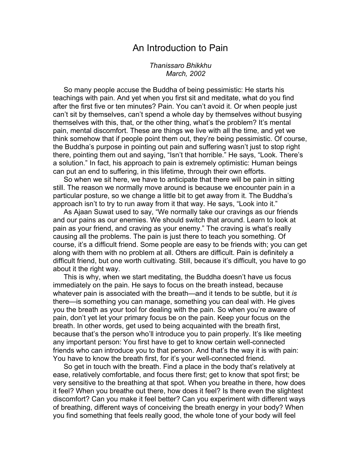## An Introduction to Pain

## *Thanissaro Bhikkhu March, 2002*

So many people accuse the Buddha of being pessimistic: He starts his teachings with pain. And yet when you first sit and meditate, what do you find after the first five or ten minutes? Pain. You can't avoid it. Or when people just can't sit by themselves, can't spend a whole day by themselves without busying themselves with this, that, or the other thing, what's the problem? It's mental pain, mental discomfort. These are things we live with all the time, and yet we think somehow that if people point them out, they're being pessimistic. Of course, the Buddha's purpose in pointing out pain and suffering wasn't just to stop right there, pointing them out and saying, "Isn't that horrible." He says, "Look. There's a solution." In fact, his approach to pain is extremely optimistic: Human beings can put an end to suffering, in this lifetime, through their own efforts.

So when we sit here, we have to anticipate that there will be pain in sitting still. The reason we normally move around is because we encounter pain in a particular posture, so we change a little bit to get away from it. The Buddha's approach isn't to try to run away from it that way. He says, "Look into it."

As Ajaan Suwat used to say, "We normally take our cravings as our friends and our pains as our enemies. We should switch that around. Learn to look at pain as your friend, and craving as your enemy." The craving is what's really causing all the problems. The pain is just there to teach you something. Of course, it's a difficult friend. Some people are easy to be friends with; you can get along with them with no problem at all. Others are difficult. Pain is definitely a difficult friend, but one worth cultivating. Still, because it's difficult, you have to go about it the right way.

This is why, when we start meditating, the Buddha doesn't have us focus immediately on the pain. He says to focus on the breath instead, because whatever pain is associated with the breath—and it tends to be subtle, but it *is* there—is something you can manage, something you can deal with. He gives you the breath as your tool for dealing with the pain. So when you're aware of pain, don't yet let your primary focus be on the pain. Keep your focus on the breath. In other words, get used to being acquainted with the breath first, because that's the person who'll introduce you to pain properly. It's like meeting any important person: You first have to get to know certain well-connected friends who can introduce you to that person. And that's the way it is with pain: You have to know the breath first, for it's your well-connected friend.

So get in touch with the breath. Find a place in the body that's relatively at ease, relatively comfortable, and focus there first; get to know that spot first; be very sensitive to the breathing at that spot. When you breathe in there, how does it feel? When you breathe out there, how does it feel? Is there even the slightest discomfort? Can you make it feel better? Can you experiment with different ways of breathing, different ways of conceiving the breath energy in your body? When you find something that feels really good, the whole tone of your body will feel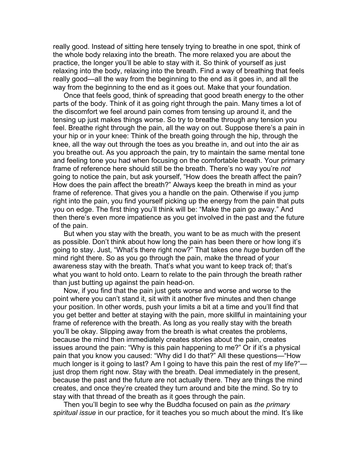really good. Instead of sitting here tensely trying to breathe in one spot, think of the whole body relaxing into the breath. The more relaxed you are about the practice, the longer you'll be able to stay with it. So think of yourself as just relaxing into the body, relaxing into the breath. Find a way of breathing that feels really good—all the way from the beginning to the end as it goes in, and all the way from the beginning to the end as it goes out. Make that your foundation.

Once that feels good, think of spreading that good breath energy to the other parts of the body. Think of it as going right through the pain. Many times a lot of the discomfort we feel around pain comes from tensing up around it, and the tensing up just makes things worse. So try to breathe through any tension you feel. Breathe right through the pain, all the way on out. Suppose there's a pain in your hip or in your knee: Think of the breath going through the hip, through the knee, all the way out through the toes as you breathe in, and out into the air as you breathe out. As you approach the pain, try to maintain the same mental tone and feeling tone you had when focusing on the comfortable breath. Your primary frame of reference here should still be the breath. There's no way you're *not* going to notice the pain, but ask yourself, "How does the breath affect the pain? How does the pain affect the breath?" Always keep the breath in mind as your frame of reference. That gives you a handle on the pain. Otherwise if you jump right into the pain, you find yourself picking up the energy from the pain that puts you on edge. The first thing you'll think will be: "Make the pain go away." And then there's even more impatience as you get involved in the past and the future of the pain.

But when you stay with the breath, you want to be as much with the present as possible. Don't think about how long the pain has been there or how long it's going to stay. Just, "What's there right now?" That takes one *huge* burden off the mind right there. So as you go through the pain, make the thread of your awareness stay with the breath. That's what you want to keep track of; that's what you want to hold onto. Learn to relate to the pain through the breath rather than just butting up against the pain head-on.

Now, if you find that the pain just gets worse and worse and worse to the point where you can't stand it, sit with it another five minutes and then change your position. In other words, push your limits a bit at a time and you'll find that you get better and better at staying with the pain, more skillful in maintaining your frame of reference with the breath. As long as you really stay with the breath you'll be okay. Slipping away from the breath is what creates the problems, because the mind then immediately creates stories about the pain, creates issues around the pain: "Why is this pain happening to me?" Or if it's a physical pain that you know you caused: "Why did I do that?" All these questions—"How much longer is it going to last? Am I going to have this pain the rest of my life?" just drop them right now. Stay with the breath. Deal immediately in the present, because the past and the future are not actually there. They are things the mind creates, and once they're created they turn around and bite the mind. So try to stay with that thread of the breath as it goes through the pain.

Then you'll begin to see why the Buddha focused on pain as *the primary spiritual issue* in our practice, for it teaches you so much about the mind. It's like